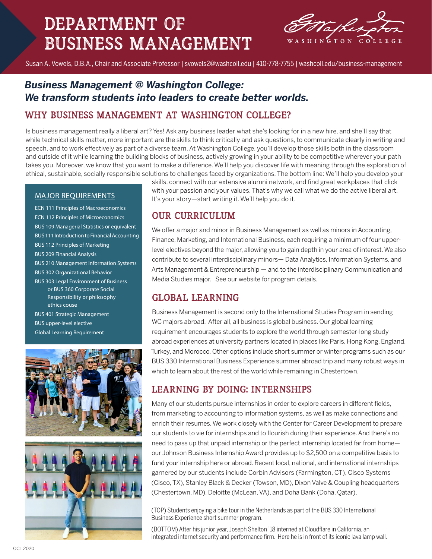# Department of Business Management



Susan A. Vowels, D.B.A., Chair and Associate Professor | svowels2@washcoll.edu | 410-778-7755 | washcoll.edu/business-management

# *Business Management @ Washington College: We transform students into leaders to create better worlds.*

## Why Business Management at washington college?

Is business management really a liberal art? Yes! Ask any business leader what she's looking for in a new hire, and she'll say that while technical skills matter, more important are the skills to think critically and ask questions, to communicate clearly in writing and speech, and to work effectively as part of a diverse team. At Washington College, you'll develop those skills both in the classroom and outside of it while learning the building blocks of business, actively growing in your ability to be competitive wherever your path takes you. Moreover, we know that you want to make a difference. We'll help you discover life with meaning through the exploration of ethical, sustainable, socially responsible solutions to challenges faced by organizations. The bottom line: We'll help you develop your

#### MAJOR REQUIREMENTS

ECN 111 Principles of Macroeconomics ECN 112 Principles of Microeconomics BUS 109 Managerial Statistics or equivalent BUS 111 Introduction to Financial Accounting BUS 112 Principles of Marketing BUS 209 Financial Analysis BUS 210 Management Information Systems BUS 302 Organizational Behavior BUS 303 Legal Environment of Business or BUS 360 Corporate Social Responsibility or philosophy ethics couse BUS 401 Strategic Management BUS upper-level elective Global Learning Requirement





skills, connect with our extensive alumni network, and find great workplaces that click with your passion and your values. That's why we call what we do the active liberal art. It's your story—start writing it. We'll help you do it.

## our Curriculum

We offer a major and minor in Business Management as well as minors in Accounting, Finance, Marketing, and International Business, each requiring a minimum of four upperlevel electives beyond the major, allowing you to gain depth in your area of interest. We also contribute to several interdisciplinary minors— Data Analytics, Information Systems, and Arts Management & Entrepreneurship — and to the interdisciplinary Communication and Media Studies major. See our website for program details.

## Global Learning

Business Management is second only to the International Studies Program in sending WC majors abroad. After all, all business is global business. Our global learning requirement encourages students to explore the world through semester-long study abroad experiences at university partners located in places like Paris, Hong Kong, England, Turkey, and Morocco. Other options include short summer or winter programs such as our BUS 330 International Business Experience summer abroad trip and many robust ways in which to learn about the rest of the world while remaining in Chestertown.

### Learning BY DOING: INTERNSHIPS

Many of our students pursue internships in order to explore careers in different fields, from marketing to accounting to information systems, as well as make connections and enrich their resumes. We work closely with the Center for Career Development to prepare our students to vie for internships and to flourish during their experience. And there's no need to pass up that unpaid internship or the perfect internship located far from home our Johnson Business Internship Award provides up to \$2,500 on a competitive basis to fund your internship here or abroad. Recent local, national, and international internships garnered by our students include Corbin Advisors (Farmington, CT), Cisco Systems (Cisco, TX), Stanley Black & Decker (Towson, MD), Dixon Valve & Coupling headquarters (Chestertown, MD), Deloitte (McLean, VA), and Doha Bank (Doha, Qatar).

(TOP) Students enjoying a bike tour in the Netherlands as part of the BUS 330 International Business Experience short summer program.

(BOTTOM) After his junior year, Joseph Shelton '18 interned at Cloudflare in California, an integrated internet security and performance firm. Here he is in front of its iconic lava lamp wall.